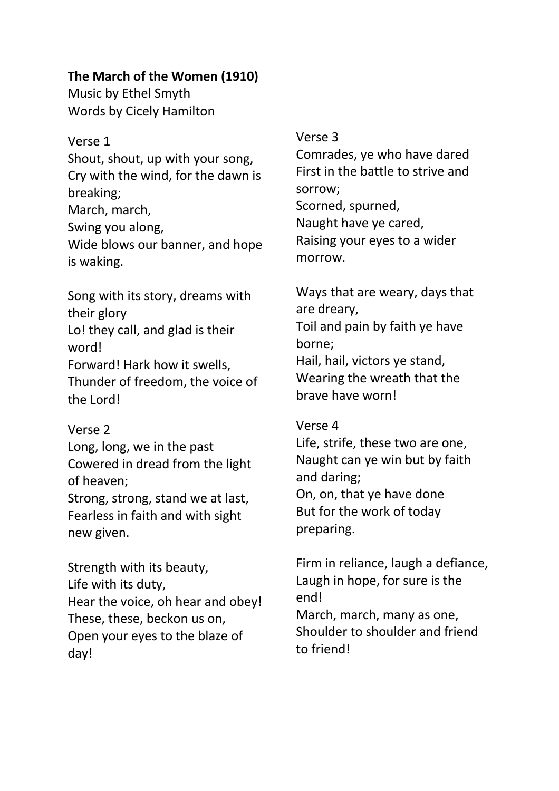## **The March of the Women (1910)**

Music by Ethel Smyth Words by Cicely Hamilton

# Verse 1 Shout, shout, up with your song, Cry with the wind, for the dawn is breaking; March, march, Swing you along, Wide blows our banner, and hope is waking.

Song with its story, dreams with their glory Lo! they call, and glad is their word! Forward! Hark how it swells, Thunder of freedom, the voice of the Lord!

## Verse 2

Long, long, we in the past Cowered in dread from the light of heaven; Strong, strong, stand we at last, Fearless in faith and with sight new given.

Strength with its beauty, Life with its duty, Hear the voice, oh hear and obey! These, these, beckon us on, Open your eyes to the blaze of day!

#### Verse 3

Comrades, ye who have dared First in the battle to strive and sorrow; Scorned, spurned,

Naught have ye cared, Raising your eyes to a wider morrow.

Ways that are weary, days that are dreary, Toil and pain by faith ye have borne; Hail, hail, victors ye stand, Wearing the wreath that the brave have worn!

#### Verse 4

Life, strife, these two are one, Naught can ye win but by faith and daring; On, on, that ye have done But for the work of today preparing.

Firm in reliance, laugh a defiance, Laugh in hope, for sure is the end! March, march, many as one, Shoulder to shoulder and friend to friend!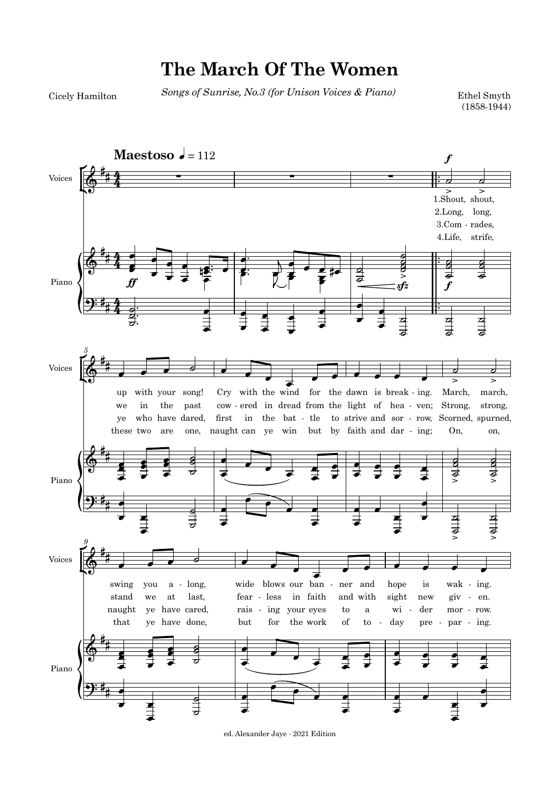

ed. Alexander Jaye - 2021 Edition

# **The March Of The Women**

Ethel Smyth (1858-1944)

Cicely Hamilton *Songs of Sunrise, No.3 (for Unison Voices & Piano)*